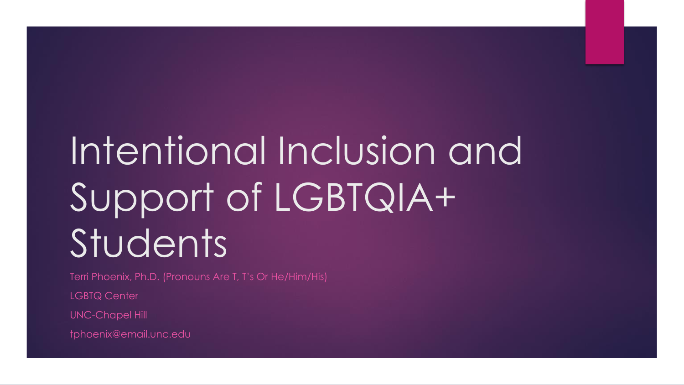# Intentional Inclusion and Support of LGBTQIA+ Students

Terri Phoenix, Ph.D. (Pronouns Are T, T's Or He/Him/His)

LGBTQ Center

UNC-Chapel Hill

tphoenix@email.unc.edu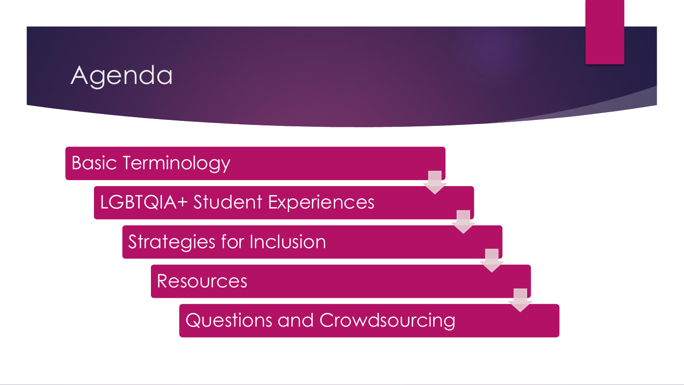#### Agenda

#### Basic Terminology

LGBTQIA+ Student Experiences

Strategies for Inclusion

Resources

Questions and Crowdsourcing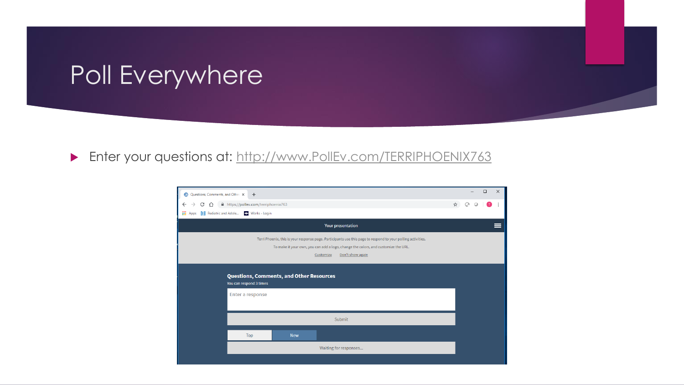#### Poll Everywhere

#### **Enter your questions at: [http://www.PollEv.com/TERRIPHOENIX763](http://www.pollev.com/TERRIPHOENIX763)**

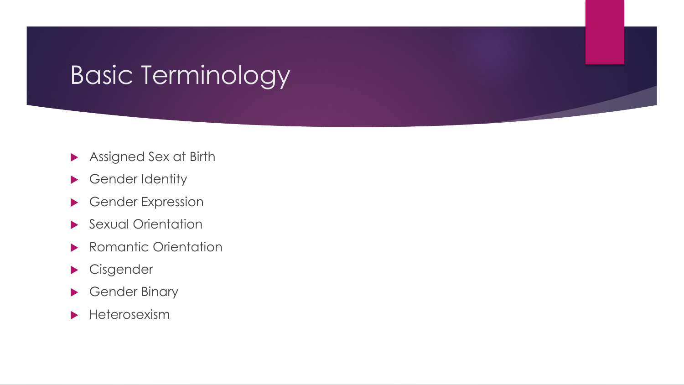- Assigned Sex at Birth
- ▶ Gender Identity
- Gender Expression
- Sexual Orientation
- **Romantic Orientation**
- Cisgender
- Gender Binary
- $\blacktriangleright$  Heterosexism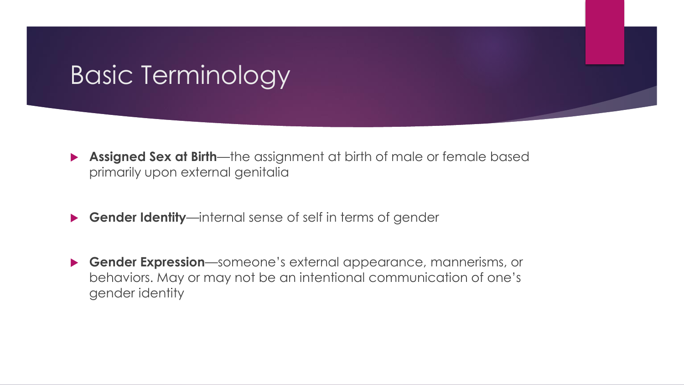- **Assigned Sex at Birth**—the assignment at birth of male or female based primarily upon external genitalia
- **Gender Identity**—internal sense of self in terms of gender
- **Gender Expression**—someone's external appearance, mannerisms, or behaviors. May or may not be an intentional communication of one's gender identity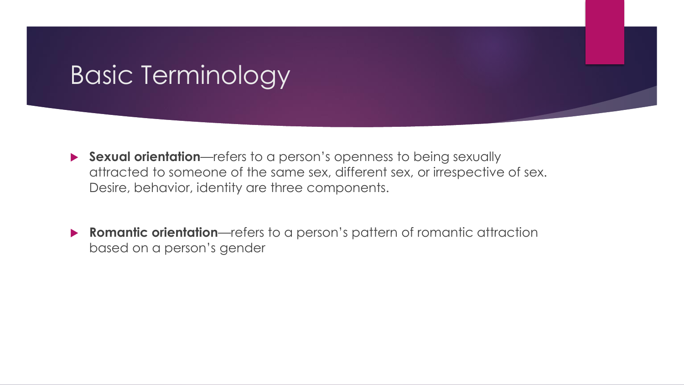- **Sexual orientation**—refers to a person's openness to being sexually attracted to someone of the same sex, different sex, or irrespective of sex. Desire, behavior, identity are three components.
- **Romantic orientation**—refers to a person's pattern of romantic attraction based on a person's gender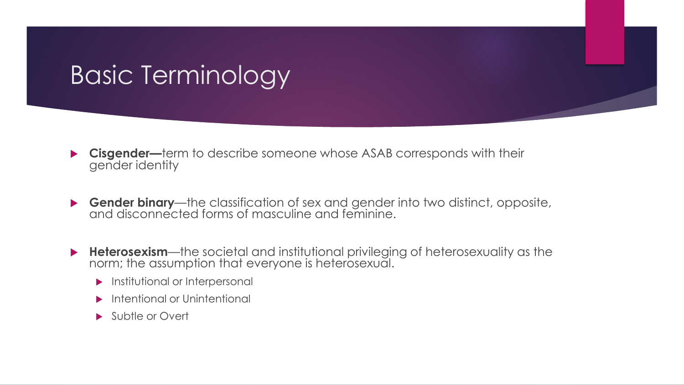- **Cisgender—**term to describe someone whose ASAB corresponds with their gender identity
- **Gender binary**—the classification of sex and gender into two distinct, opposite, and disconnected forms of masculine and feminine.
- **Heterosexism**—the societal and institutional privileging of heterosexuality as the norm; the assumption that everyone is heterosexual.
	- **Institutional or Interpersonal**
	- Intentional or Unintentional
	- Subtle or Overt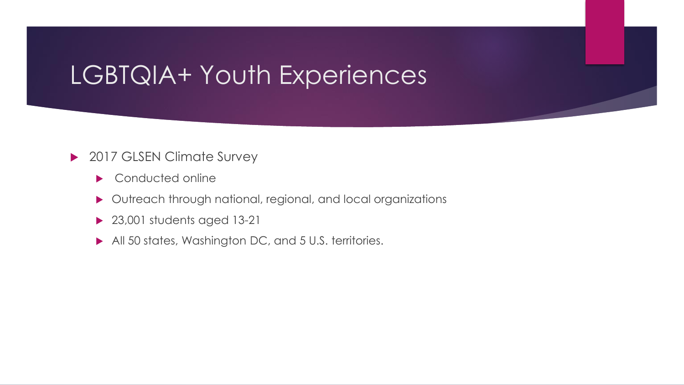- ▶ 2017 GLSEN Climate Survey
	- Conducted online
	- Outreach through national, regional, and local organizations
	- ▶ 23,001 students aged 13-21
	- All 50 states, Washington DC, and 5 U.S. territories.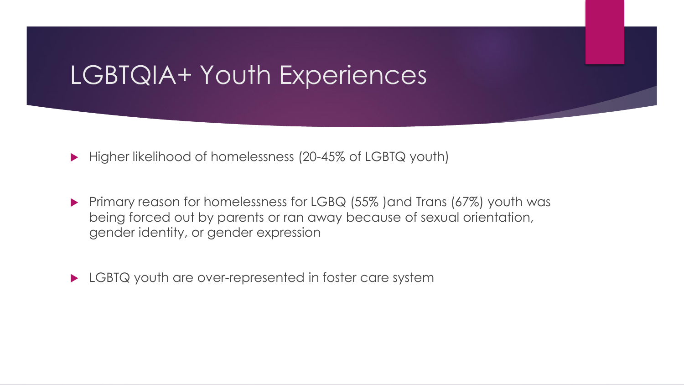- ▶ Higher likelihood of homelessness (20-45% of LGBTQ youth)
- Primary reason for homelessness for LGBQ (55%) and Trans (67%) youth was being forced out by parents or ran away because of sexual orientation, gender identity, or gender expression
- ▶ LGBTQ youth are over-represented in foster care system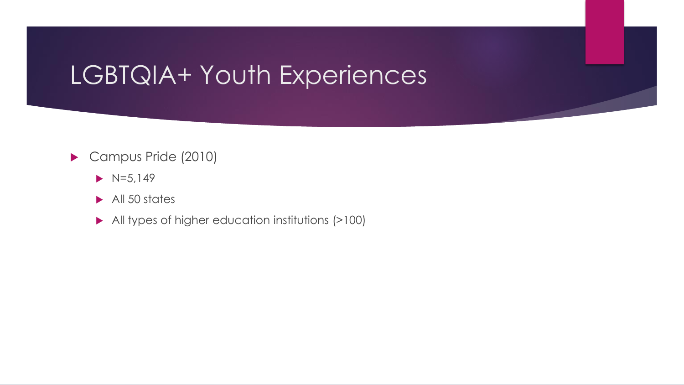#### Campus Pride (2010)

- $\triangleright$  N=5,149
- All 50 states
- All types of higher education institutions (>100)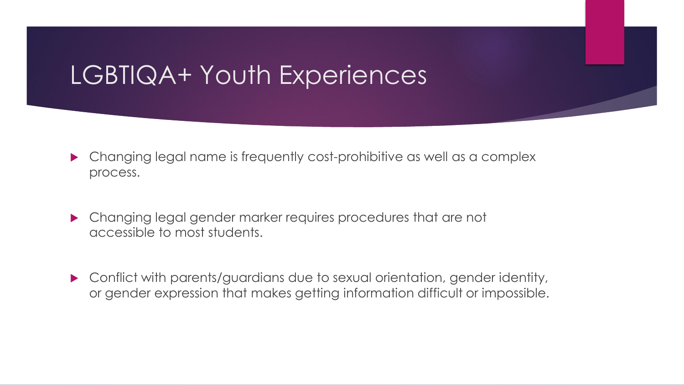- Changing legal name is frequently cost-prohibitive as well as a complex process.
- Changing legal gender marker requires procedures that are not accessible to most students.
- Conflict with parents/guardians due to sexual orientation, gender identity, or gender expression that makes getting information difficult or impossible.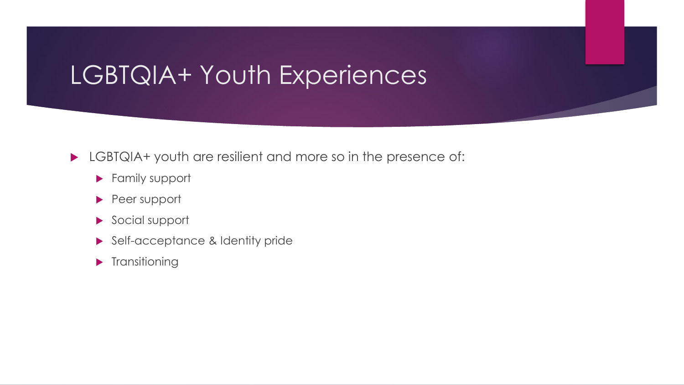#### LGBTQIA+ youth are resilient and more so in the presence of:

- **Family support**
- Peer support
- Social support
- Self-acceptance & Identity pride
- **Transitioning**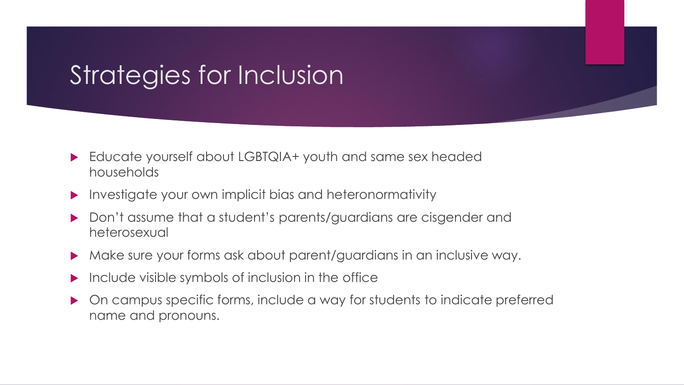- ▶ Educate yourself about LGBTQIA+ youth and same sex headed households
- **Investigate your own implicit bias and heteronormativity**
- Don't assume that a student's parents/guardians are cisgender and heterosexual
- Make sure your forms ask about parent/guardians in an inclusive way.
- $\blacktriangleright$  Include visible symbols of inclusion in the office
- On campus specific forms, include a way for students to indicate preferred name and pronouns.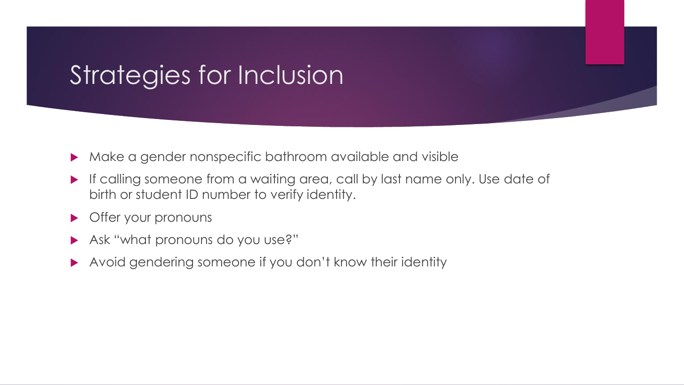- Make a gender nonspecific bathroom available and visible
- If calling someone from a waiting area, call by last name only. Use date of birth or student ID number to verify identity.
- **Offer your pronouns**
- Ask "what pronouns do you use?"
- Avoid gendering someone if you don't know their identity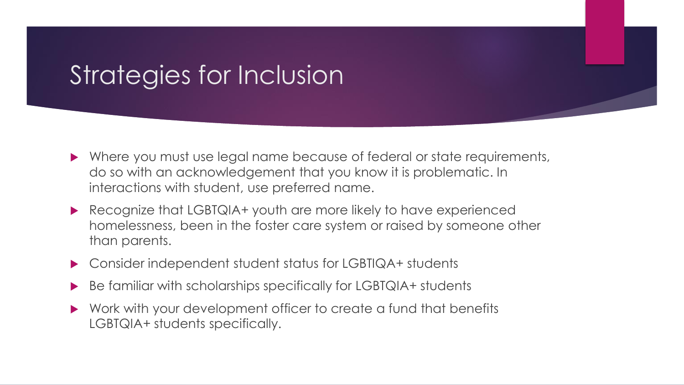- ▶ Where you must use legal name because of federal or state requirements, do so with an acknowledgement that you know it is problematic. In interactions with student, use preferred name.
- ▶ Recognize that LGBTQIA+ youth are more likely to have experienced homelessness, been in the foster care system or raised by someone other than parents.
- ▶ Consider independent student status for LGBTIQA+ students
- Be familiar with scholarships specifically for LGBTQIA+ students
- Work with your development officer to create a fund that benefits LGBTQIA+ students specifically.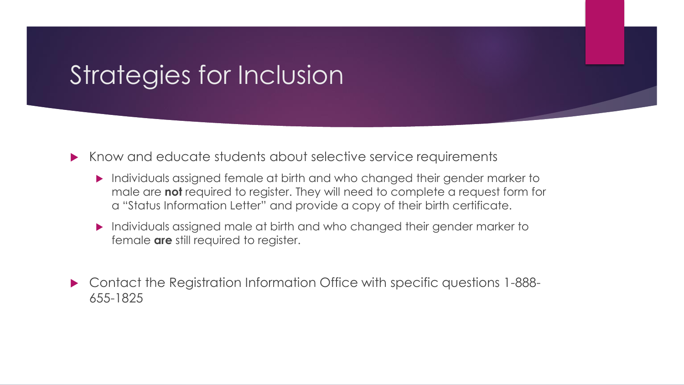Know and educate students about selective service requirements

- Individuals assigned female at birth and who changed their gender marker to male are **not** required to register. They will need to complete a request form for a "Status Information Letter" and provide a copy of their birth certificate.
- Individuals assigned male at birth and who changed their gender marker to female **are** still required to register.
- Contact the Registration Information Office with specific questions 1-888- 655-1825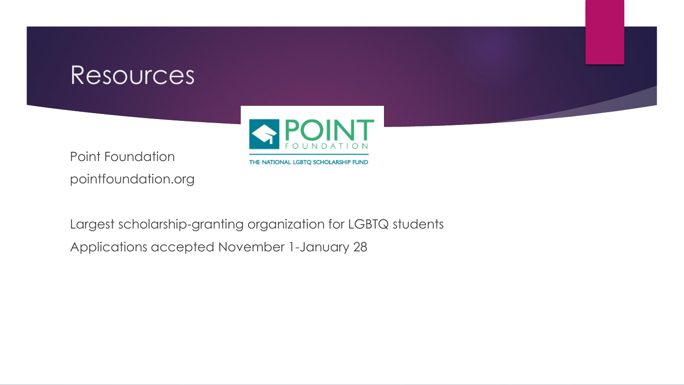

Point Foundation pointfoundation.org

Largest scholarship-granting organization for LGBTQ students Applications accepted November 1-January 28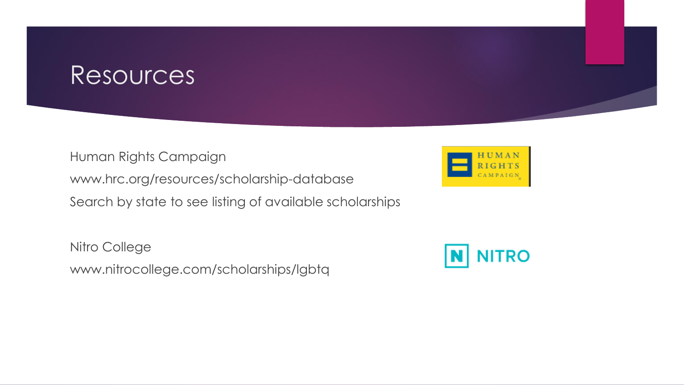Human Rights Campaign

www.hrc.org/resources/scholarship-database

Search by state to see listing of available scholarships

Nitro College www.nitrocollege.com/scholarships/lgbtq



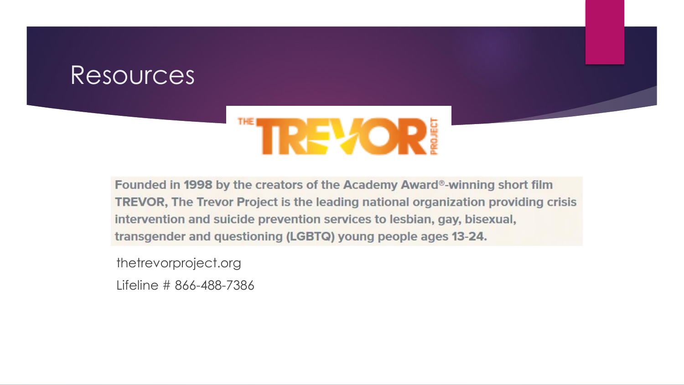# **TREXOR:**

Founded in 1998 by the creators of the Academy Award®-winning short film **TREVOR, The Trevor Project is the leading national organization providing crisis** intervention and suicide prevention services to lesbian, gay, bisexual, transgender and questioning (LGBTQ) young people ages 13-24.

thetrevorproject.org

Lifeline # 866-488-7386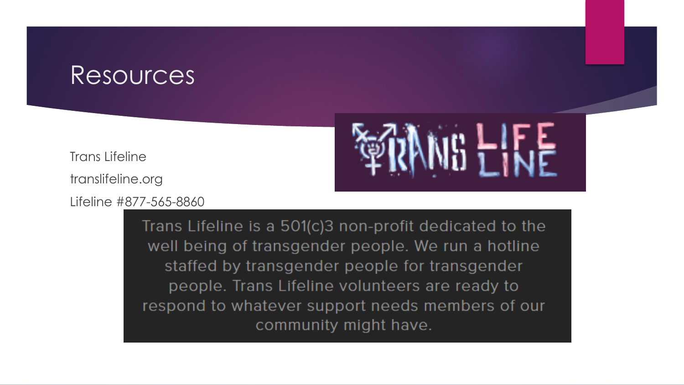Trans Lifeline

translifeline.org

Lifeline #877-565-8860



Trans Lifeline is a 501(c)3 non-profit dedicated to the well being of transgender people. We run a hotline staffed by transgender people for transgender people. Trans Lifeline volunteers are ready to respond to whatever support needs members of our community might have.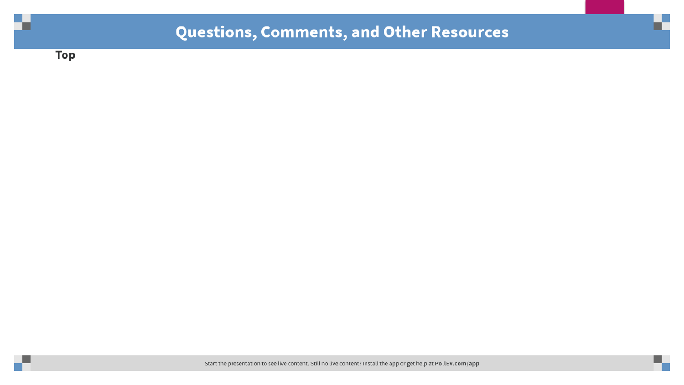#### Questions, Comments, and Other Resources

**Top** 

Start the presentation to see live content. Still no live content? Install the app or get help at PollEv.com/app